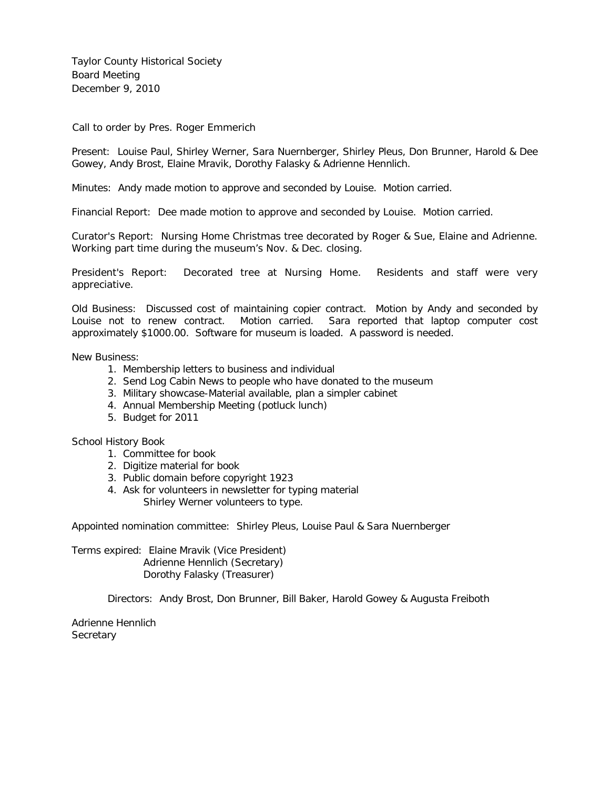Taylor County Historical Society Board Meeting December 9, 2010

Call to order by Pres. Roger Emmerich

Present: Louise Paul, Shirley Werner, Sara Nuernberger, Shirley Pleus, Don Brunner, Harold & Dee Gowey, Andy Brost, Elaine Mravik, Dorothy Falasky & Adrienne Hennlich.

Minutes: Andy made motion to approve and seconded by Louise. Motion carried.

Financial Report: Dee made motion to approve and seconded by Louise. Motion carried.

Curator's Report: Nursing Home Christmas tree decorated by Roger & Sue, Elaine and Adrienne. Working part time during the museum's Nov. & Dec. closing.

President's Report: Decorated tree at Nursing Home. Residents and staff were very appreciative.

Old Business: Discussed cost of maintaining copier contract. Motion by Andy and seconded by Louise not to renew contract. Motion carried. Sara reported that laptop computer cost approximately \$1000.00. Software for museum is loaded. A password is needed.

New Business:

- 1. Membership letters to business and individual
- 2. Send Log Cabin News to people who have donated to the museum
- 3. Military showcase-Material available, plan a simpler cabinet
- 4. Annual Membership Meeting (potluck lunch)
- 5. Budget for 2011

School History Book

- 1. Committee for book
- 2. Digitize material for book
- 3. Public domain before copyright 1923
- 4. Ask for volunteers in newsletter for typing material Shirley Werner volunteers to type.

Appointed nomination committee: Shirley Pleus, Louise Paul & Sara Nuernberger

Terms expired: Elaine Mravik (Vice President) Adrienne Hennlich (Secretary) Dorothy Falasky (Treasurer)

Directors: Andy Brost, Don Brunner, Bill Baker, Harold Gowey & Augusta Freiboth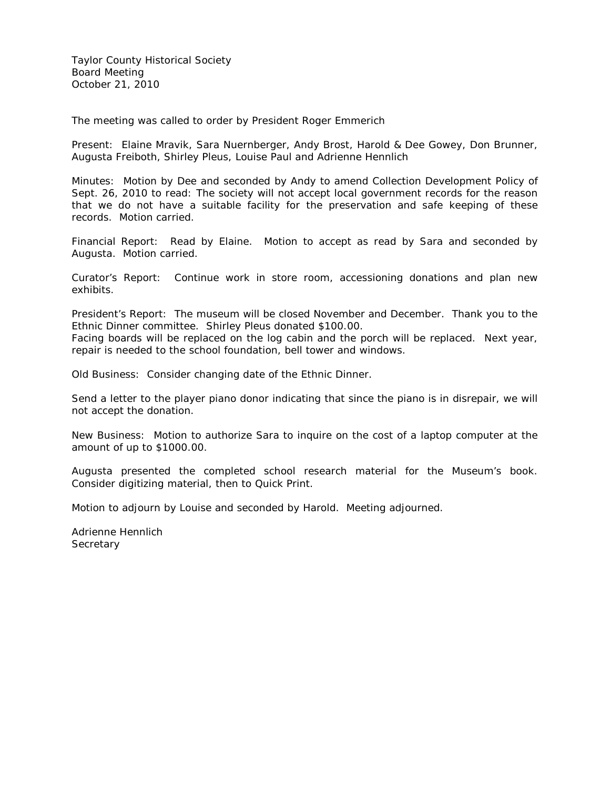Taylor County Historical Society Board Meeting October 21, 2010

The meeting was called to order by President Roger Emmerich

Present: Elaine Mravik, Sara Nuernberger, Andy Brost, Harold & Dee Gowey, Don Brunner, Augusta Freiboth, Shirley Pleus, Louise Paul and Adrienne Hennlich

Minutes: Motion by Dee and seconded by Andy to amend Collection Development Policy of Sept. 26, 2010 to read: The society will not accept local government records for the reason that we do not have a suitable facility for the preservation and safe keeping of these records. Motion carried.

Financial Report: Read by Elaine. Motion to accept as read by Sara and seconded by Augusta. Motion carried.

Curator's Report: Continue work in store room, accessioning donations and plan new exhibits.

President's Report: The museum will be closed November and December. Thank you to the Ethnic Dinner committee. Shirley Pleus donated \$100.00.

Facing boards will be replaced on the log cabin and the porch will be replaced. Next year, repair is needed to the school foundation, bell tower and windows.

Old Business: Consider changing date of the Ethnic Dinner.

Send a letter to the player piano donor indicating that since the piano is in disrepair, we will not accept the donation.

New Business: Motion to authorize Sara to inquire on the cost of a laptop computer at the amount of up to \$1000.00.

Augusta presented the completed school research material for the Museum's book. Consider digitizing material, then to Quick Print.

Motion to adjourn by Louise and seconded by Harold. Meeting adjourned.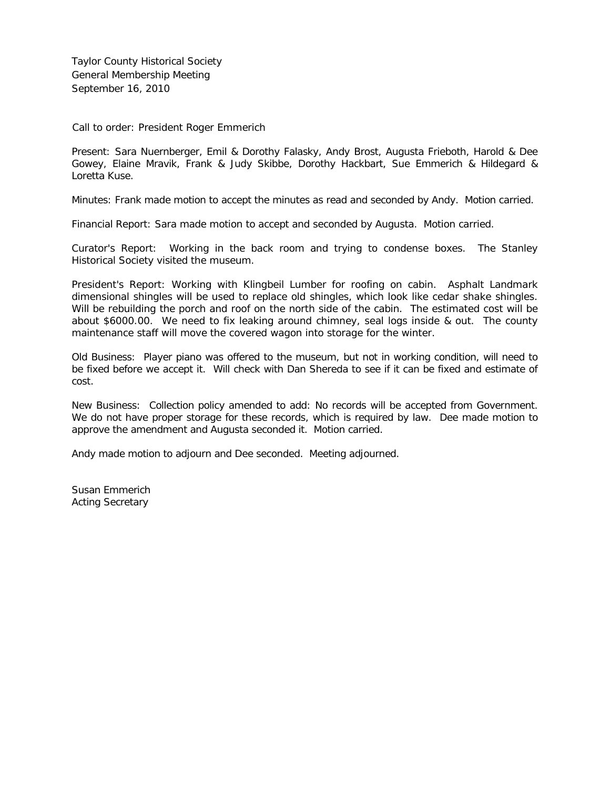Taylor County Historical Society General Membership Meeting September 16, 2010

Call to order: President Roger Emmerich

Present: Sara Nuernberger, Emil & Dorothy Falasky, Andy Brost, Augusta Frieboth, Harold & Dee Gowey, Elaine Mravik, Frank & Judy Skibbe, Dorothy Hackbart, Sue Emmerich & Hildegard & Loretta Kuse.

Minutes: Frank made motion to accept the minutes as read and seconded by Andy. Motion carried.

Financial Report: Sara made motion to accept and seconded by Augusta. Motion carried.

Curator's Report: Working in the back room and trying to condense boxes. The Stanley Historical Society visited the museum.

President's Report: Working with Klingbeil Lumber for roofing on cabin. Asphalt Landmark dimensional shingles will be used to replace old shingles, which look like cedar shake shingles. Will be rebuilding the porch and roof on the north side of the cabin. The estimated cost will be about \$6000.00. We need to fix leaking around chimney, seal logs inside & out. The county maintenance staff will move the covered wagon into storage for the winter.

Old Business: Player piano was offered to the museum, but not in working condition, will need to be fixed before we accept it. Will check with Dan Shereda to see if it can be fixed and estimate of cost.

New Business: Collection policy amended to add: No records will be accepted from Government. We do not have proper storage for these records, which is required by law. Dee made motion to approve the amendment and Augusta seconded it. Motion carried.

Andy made motion to adjourn and Dee seconded. Meeting adjourned.

Susan Emmerich Acting Secretary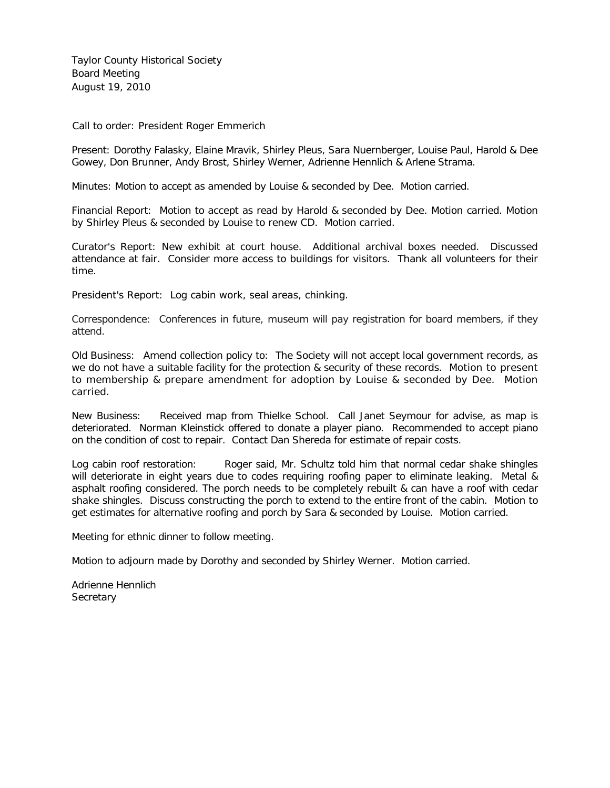Taylor County Historical Society Board Meeting August 19, 2010

Call to order: President Roger Emmerich

Present: Dorothy Falasky, Elaine Mravik, Shirley Pleus, Sara Nuernberger, Louise Paul, Harold & Dee Gowey, Don Brunner, Andy Brost, Shirley Werner, Adrienne Hennlich & Arlene Strama.

Minutes: Motion to accept as amended by Louise & seconded by Dee. Motion carried.

Financial Report: Motion to accept as read by Harold & seconded by Dee. Motion carried. Motion by Shirley Pleus & seconded by Louise to renew CD. Motion carried.

Curator's Report: New exhibit at court house. Additional archival boxes needed. Discussed attendance at fair. Consider more access to buildings for visitors. Thank all volunteers for their time.

President's Report: Log cabin work, seal areas, chinking.

Correspondence: Conferences in future, museum will pay registration for board members, if they attend.

Old Business: Amend collection policy to: The Society will not accept local government records, as we do not have a suitable facility for the protection & security of these records. Motion to present to membership & prepare amendment for adoption by Louise & seconded by Dee. Motion carried.

New Business: Received map from Thielke School. Call Janet Seymour for advise, as map is deteriorated. Norman Kleinstick offered to donate a player piano. Recommended to accept piano on the condition of cost to repair. Contact Dan Shereda for estimate of repair costs.

Log cabin roof restoration: Roger said, Mr. Schultz told him that normal cedar shake shingles will deteriorate in eight years due to codes requiring roofing paper to eliminate leaking. Metal & asphalt roofing considered. The porch needs to be completely rebuilt & can have a roof with cedar shake shingles. Discuss constructing the porch to extend to the entire front of the cabin. Motion to get estimates for alternative roofing and porch by Sara & seconded by Louise. Motion carried.

Meeting for ethnic dinner to follow meeting.

Motion to adjourn made by Dorothy and seconded by Shirley Werner. Motion carried.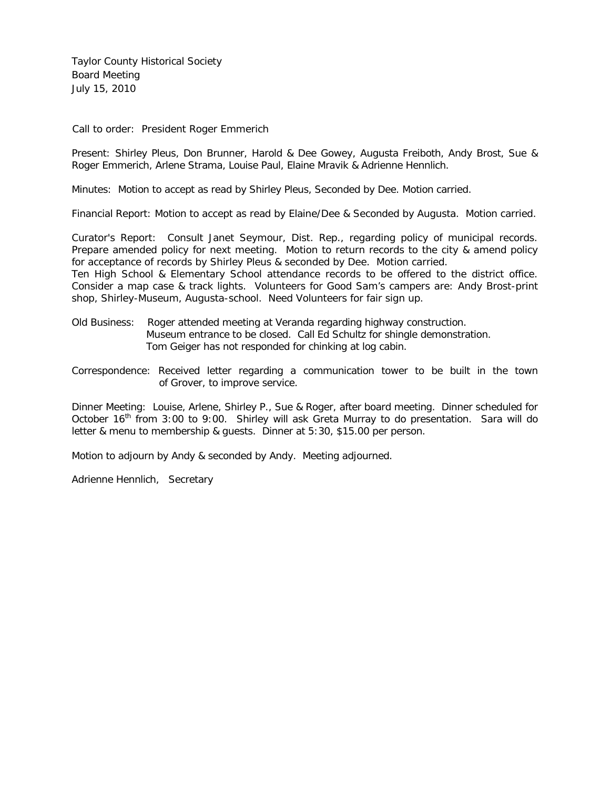Taylor County Historical Society Board Meeting July 15, 2010

Call to order: President Roger Emmerich

Present: Shirley Pleus, Don Brunner, Harold & Dee Gowey, Augusta Freiboth, Andy Brost, Sue & Roger Emmerich, Arlene Strama, Louise Paul, Elaine Mravik & Adrienne Hennlich.

Minutes: Motion to accept as read by Shirley Pleus, Seconded by Dee. Motion carried.

Financial Report: Motion to accept as read by Elaine/Dee & Seconded by Augusta. Motion carried.

Curator's Report: Consult Janet Seymour, Dist. Rep., regarding policy of municipal records. Prepare amended policy for next meeting. Motion to return records to the city & amend policy for acceptance of records by Shirley Pleus & seconded by Dee. Motion carried. Ten High School & Elementary School attendance records to be offered to the district office. Consider a map case & track lights. Volunteers for Good Sam's campers are: Andy Brost-print

shop, Shirley-Museum, Augusta-school. Need Volunteers for fair sign up.

- Old Business: Roger attended meeting at Veranda regarding highway construction. Museum entrance to be closed. Call Ed Schultz for shingle demonstration. Tom Geiger has not responded for chinking at log cabin.
- Correspondence: Received letter regarding a communication tower to be built in the town of Grover, to improve service.

Dinner Meeting: Louise, Arlene, Shirley P., Sue & Roger, after board meeting. Dinner scheduled for October  $16<sup>th</sup>$  from 3:00 to 9:00. Shirley will ask Greta Murray to do presentation. Sara will do letter & menu to membership & guests. Dinner at 5:30, \$15.00 per person.

Motion to adjourn by Andy & seconded by Andy. Meeting adjourned.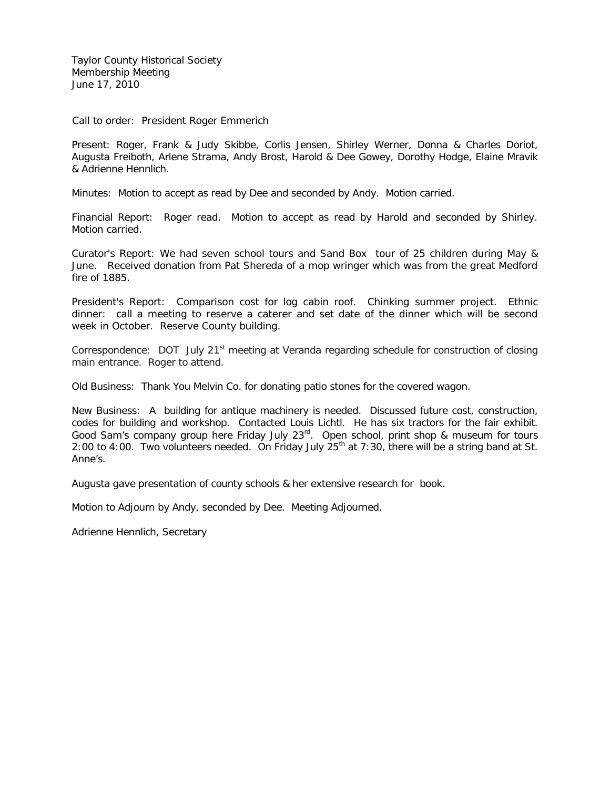Taylor County Historical Society Membership Meeting June 17, 2010

Call to order: President Roger Emmerich

Present: Roger, Frank & Judy Skibbe, Corlis Jensen, Shirley Werner, Donna & Charles Doriot, Augusta Freiboth, Arlene Strama, Andy Brost, Harold & Dee Gowey, Dorothy Hodge, Elaine Mravik & Adrienne Hennlich.

Minutes: Motion to accept as read by Dee and seconded by Andy. Motion carried.

Financial Report: Roger read. Motion to accept as read by Harold and seconded by Shirley. Motion carried.

Curator's Report: We had seven school tours and Sand Box tour of 25 children during May & June. Received donation from Pat Shereda of a mop wringer which was from the great Medford fire of 1885.

President's Report: Comparison cost for log cabin roof. Chinking summer project. Ethnic dinner: call a meeting to reserve a caterer and set date of the dinner which will be second week in October. Reserve County building.

Correspondence: DOT July 21<sup>st</sup> meeting at Veranda regarding schedule for construction of closing main entrance. Roger to attend.

Old Business: Thank You Melvin Co. for donating patio stones for the covered wagon.

New Business: A building for antique machinery is needed. Discussed future cost, construction, codes for building and workshop. Contacted Louis Lichtl. He has six tractors for the fair exhibit. Good Sam's company group here Friday July  $23<sup>rd</sup>$ . Open school, print shop & museum for tours 2:00 to 4:00. Two volunteers needed. On Friday July  $25<sup>th</sup>$  at 7:30, there will be a string band at St. Anne's.

Augusta gave presentation of county schools & her extensive research for book.

Motion to Adjourn by Andy, seconded by Dee. Meeting Adjourned.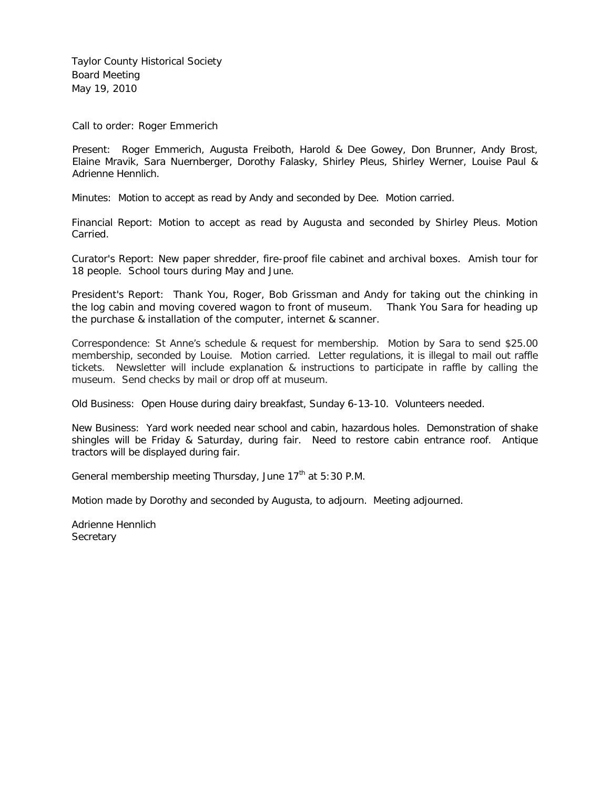Taylor County Historical Society Board Meeting May 19, 2010

Call to order: Roger Emmerich

Present: Roger Emmerich, Augusta Freiboth, Harold & Dee Gowey, Don Brunner, Andy Brost, Elaine Mravik, Sara Nuernberger, Dorothy Falasky, Shirley Pleus, Shirley Werner, Louise Paul & Adrienne Hennlich.

Minutes: Motion to accept as read by Andy and seconded by Dee. Motion carried.

Financial Report: Motion to accept as read by Augusta and seconded by Shirley Pleus. Motion Carried.

Curator's Report: New paper shredder, fire-proof file cabinet and archival boxes. Amish tour for 18 people. School tours during May and June.

President's Report: Thank You, Roger, Bob Grissman and Andy for taking out the chinking in the log cabin and moving covered wagon to front of museum. Thank You Sara for heading up the purchase & installation of the computer, internet & scanner.

Correspondence: St Anne's schedule & request for membership. Motion by Sara to send \$25.00 membership, seconded by Louise. Motion carried. Letter regulations, it is illegal to mail out raffle tickets. Newsletter will include explanation & instructions to participate in raffle by calling the museum. Send checks by mail or drop off at museum.

Old Business: Open House during dairy breakfast, Sunday 6-13-10. Volunteers needed.

New Business: Yard work needed near school and cabin, hazardous holes. Demonstration of shake shingles will be Friday & Saturday, during fair. Need to restore cabin entrance roof. Antique tractors will be displayed during fair.

General membership meeting Thursday, June 17<sup>th</sup> at 5:30 P.M.

Motion made by Dorothy and seconded by Augusta, to adjourn. Meeting adjourned.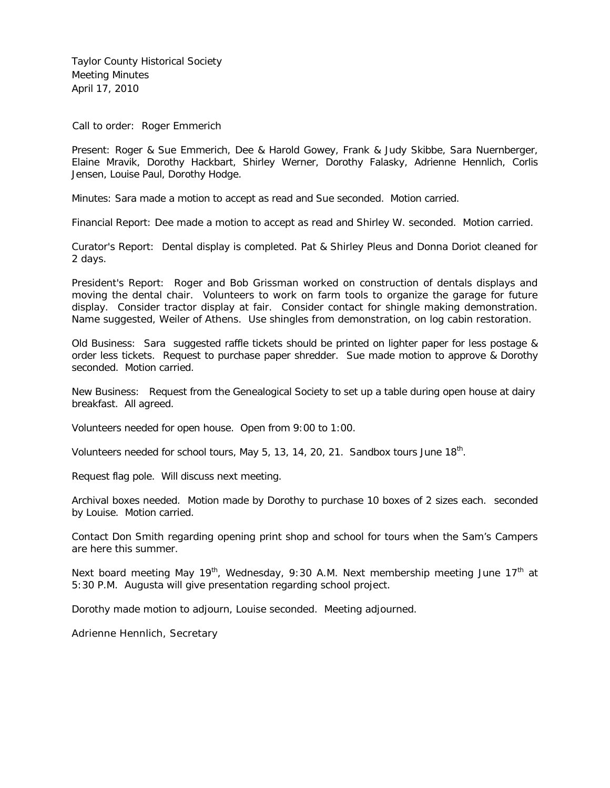Taylor County Historical Society Meeting Minutes April 17, 2010

Call to order: Roger Emmerich

Present: Roger & Sue Emmerich, Dee & Harold Gowey, Frank & Judy Skibbe, Sara Nuernberger, Elaine Mravik, Dorothy Hackbart, Shirley Werner, Dorothy Falasky, Adrienne Hennlich, Corlis Jensen, Louise Paul, Dorothy Hodge.

Minutes: Sara made a motion to accept as read and Sue seconded. Motion carried.

Financial Report: Dee made a motion to accept as read and Shirley W. seconded. Motion carried.

Curator's Report: Dental display is completed. Pat & Shirley Pleus and Donna Doriot cleaned for 2 days.

President's Report: Roger and Bob Grissman worked on construction of dentals displays and moving the dental chair. Volunteers to work on farm tools to organize the garage for future display. Consider tractor display at fair. Consider contact for shingle making demonstration. Name suggested, Weiler of Athens. Use shingles from demonstration, on log cabin restoration.

Old Business: Sara suggested raffle tickets should be printed on lighter paper for less postage & order less tickets. Request to purchase paper shredder. Sue made motion to approve & Dorothy seconded. Motion carried.

New Business: Request from the Genealogical Society to set up a table during open house at dairy breakfast. All agreed.

Volunteers needed for open house. Open from 9:00 to 1:00.

Volunteers needed for school tours, May 5, 13, 14, 20, 21. Sandbox tours June 18<sup>th</sup>.

Request flag pole. Will discuss next meeting.

Archival boxes needed. Motion made by Dorothy to purchase 10 boxes of 2 sizes each. seconded by Louise. Motion carried.

Contact Don Smith regarding opening print shop and school for tours when the Sam's Campers are here this summer.

Next board meeting May 19<sup>th</sup>, Wednesday, 9:30 A.M. Next membership meeting June 17<sup>th</sup> at 5:30 P.M. Augusta will give presentation regarding school project.

Dorothy made motion to adjourn, Louise seconded. Meeting adjourned.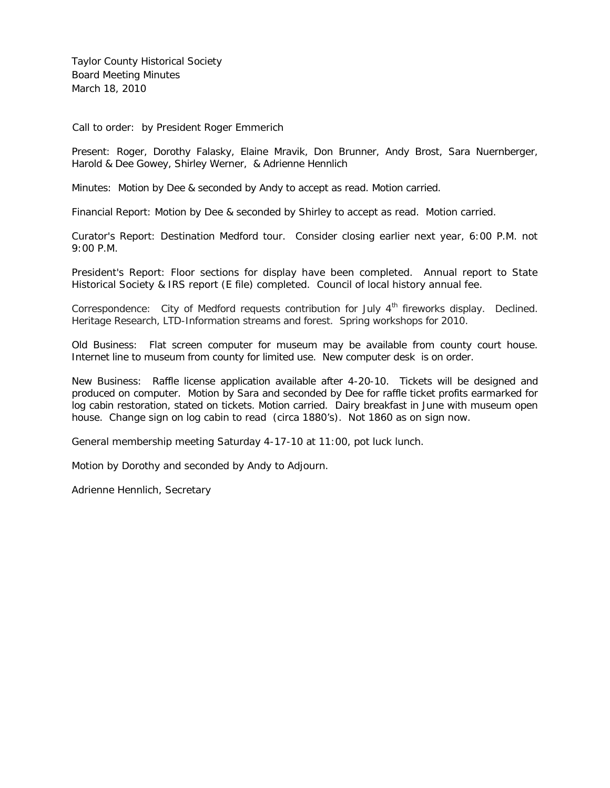Taylor County Historical Society Board Meeting Minutes March 18, 2010

Call to order: by President Roger Emmerich

Present: Roger, Dorothy Falasky, Elaine Mravik, Don Brunner, Andy Brost, Sara Nuernberger, Harold & Dee Gowey, Shirley Werner, & Adrienne Hennlich

Minutes: Motion by Dee & seconded by Andy to accept as read. Motion carried.

Financial Report: Motion by Dee & seconded by Shirley to accept as read. Motion carried.

Curator's Report: Destination Medford tour. Consider closing earlier next year, 6:00 P.M. not 9:00 P.M.

President's Report: Floor sections for display have been completed. Annual report to State Historical Society & IRS report (E file) completed. Council of local history annual fee.

Correspondence: City of Medford requests contribution for July  $4<sup>th</sup>$  fireworks display. Declined. Heritage Research, LTD-Information streams and forest. Spring workshops for 2010.

Old Business: Flat screen computer for museum may be available from county court house. Internet line to museum from county for limited use. New computer desk is on order.

New Business: Raffle license application available after 4-20-10. Tickets will be designed and produced on computer. Motion by Sara and seconded by Dee for raffle ticket profits earmarked for log cabin restoration, stated on tickets. Motion carried. Dairy breakfast in June with museum open house. Change sign on log cabin to read (circa 1880's). Not 1860 as on sign now.

General membership meeting Saturday 4-17-10 at 11:00, pot luck lunch.

Motion by Dorothy and seconded by Andy to Adjourn.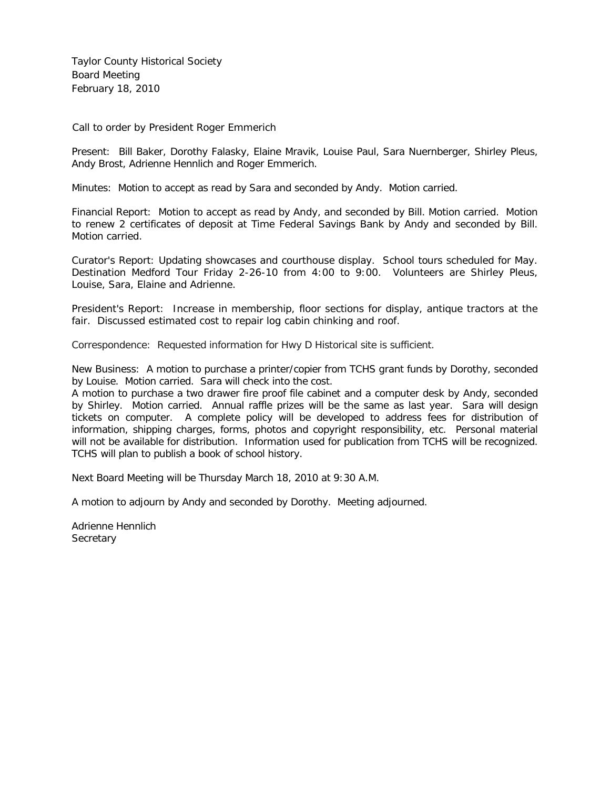Taylor County Historical Society Board Meeting February 18, 2010

Call to order by President Roger Emmerich

Present: Bill Baker, Dorothy Falasky, Elaine Mravik, Louise Paul, Sara Nuernberger, Shirley Pleus, Andy Brost, Adrienne Hennlich and Roger Emmerich.

Minutes: Motion to accept as read by Sara and seconded by Andy. Motion carried.

Financial Report: Motion to accept as read by Andy, and seconded by Bill. Motion carried. Motion to renew 2 certificates of deposit at Time Federal Savings Bank by Andy and seconded by Bill. Motion carried.

Curator's Report: Updating showcases and courthouse display. School tours scheduled for May. Destination Medford Tour Friday 2-26-10 from 4:00 to 9:00. Volunteers are Shirley Pleus, Louise, Sara, Elaine and Adrienne.

President's Report: Increase in membership, floor sections for display, antique tractors at the fair. Discussed estimated cost to repair log cabin chinking and roof.

Correspondence: Requested information for Hwy D Historical site is sufficient.

New Business: A motion to purchase a printer/copier from TCHS grant funds by Dorothy, seconded by Louise. Motion carried. Sara will check into the cost.

A motion to purchase a two drawer fire proof file cabinet and a computer desk by Andy, seconded by Shirley. Motion carried. Annual raffle prizes will be the same as last year. Sara will design tickets on computer. A complete policy will be developed to address fees for distribution of information, shipping charges, forms, photos and copyright responsibility, etc. Personal material will not be available for distribution. Information used for publication from TCHS will be recognized. TCHS will plan to publish a book of school history.

Next Board Meeting will be Thursday March 18, 2010 at 9:30 A.M.

A motion to adjourn by Andy and seconded by Dorothy. Meeting adjourned.